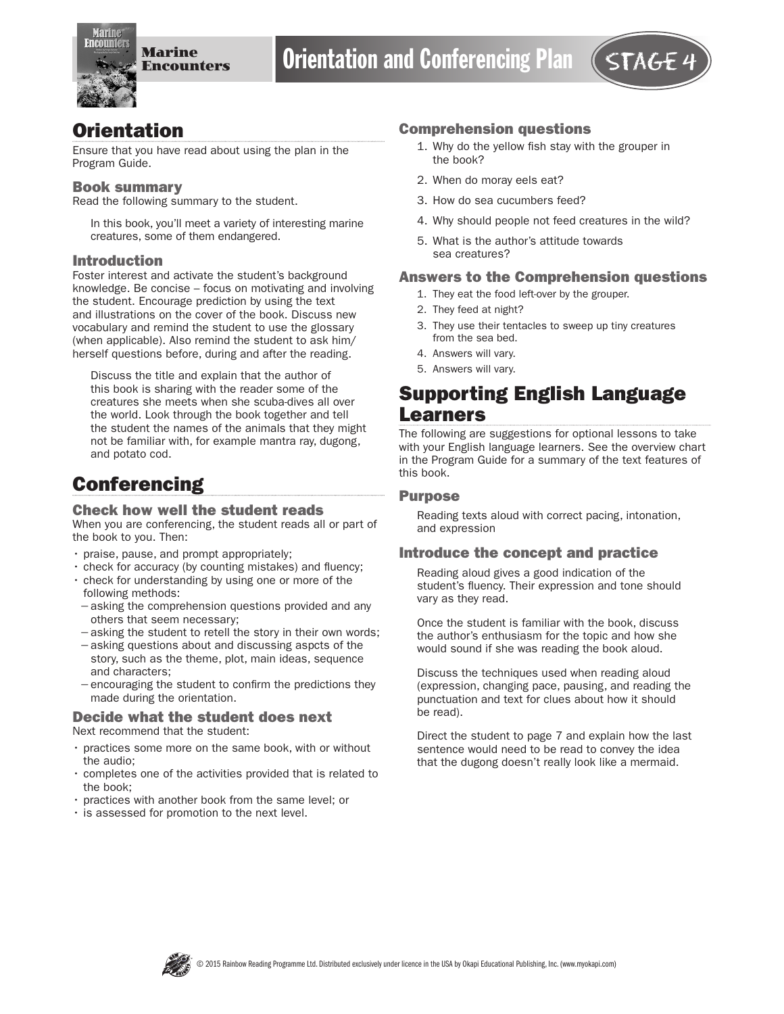

# **Orientation**

Ensure that you have read about using the plan in the Program Guide.

#### Book summary

Read the following summary to the student.

In this book, you'll meet a variety of interesting marine creatures, some of them endangered.

### Introduction

Foster interest and activate the student's background knowledge. Be concise – focus on motivating and involving the student. Encourage prediction by using the text and illustrations on the cover of the book. Discuss new vocabulary and remind the student to use the glossary (when applicable). Also remind the student to ask him/ herself questions before, during and after the reading.

Discuss the title and explain that the author of this book is sharing with the reader some of the creatures she meets when she scuba-dives all over the world. Look through the book together and tell the student the names of the animals that they might not be familiar with, for example mantra ray, dugong, and potato cod.

# **Conferencing**

#### Check how well the student reads

When you are conferencing, the student reads all or part of the book to you. Then:

- praise, pause, and prompt appropriately;
- check for accuracy (by counting mistakes) and fluency;
- check for understanding by using one or more of the following methods:
- −asking the comprehension questions provided and any others that seem necessary;
- −asking the student to retell the story in their own words;
- −asking questions about and discussing aspcts of the story, such as the theme, plot, main ideas, sequence and characters;
- −encouraging the student to confirm the predictions they made during the orientation.

#### Decide what the student does next Next recommend that the student:

- practices some more on the same book, with or without the audio;
- completes one of the activities provided that is related to the book;
- practices with another book from the same level; or
- is assessed for promotion to the next level.

#### Comprehension questions

- 1. Why do the yellow fish stay with the grouper in the book?
- 2. When do moray eels eat?
- 3. How do sea cucumbers feed?
- 4. Why should people not feed creatures in the wild?
- 5. What is the author's attitude towards sea creatures?

### Answers to the Comprehension questions

- 1. They eat the food left-over by the grouper.
- 2. They feed at night?
- 3. They use their tentacles to sweep up tiny creatures from the sea bed.
- 4. Answers will vary.
- 5. Answers will vary.

# Supporting English Language Learners

The following are suggestions for optional lessons to take with your English language learners. See the overview chart in the Program Guide for a summary of the text features of this book.

#### Purpose

Reading texts aloud with correct pacing, intonation, and expression

### Introduce the concept and practice

Reading aloud gives a good indication of the student's fluency. Their expression and tone should vary as they read.

Once the student is familiar with the book, discuss the author's enthusiasm for the topic and how she would sound if she was reading the book aloud.

Discuss the techniques used when reading aloud (expression, changing pace, pausing, and reading the punctuation and text for clues about how it should be read).

Direct the student to page 7 and explain how the last sentence would need to be read to convey the idea that the dugong doesn't really look like a mermaid.

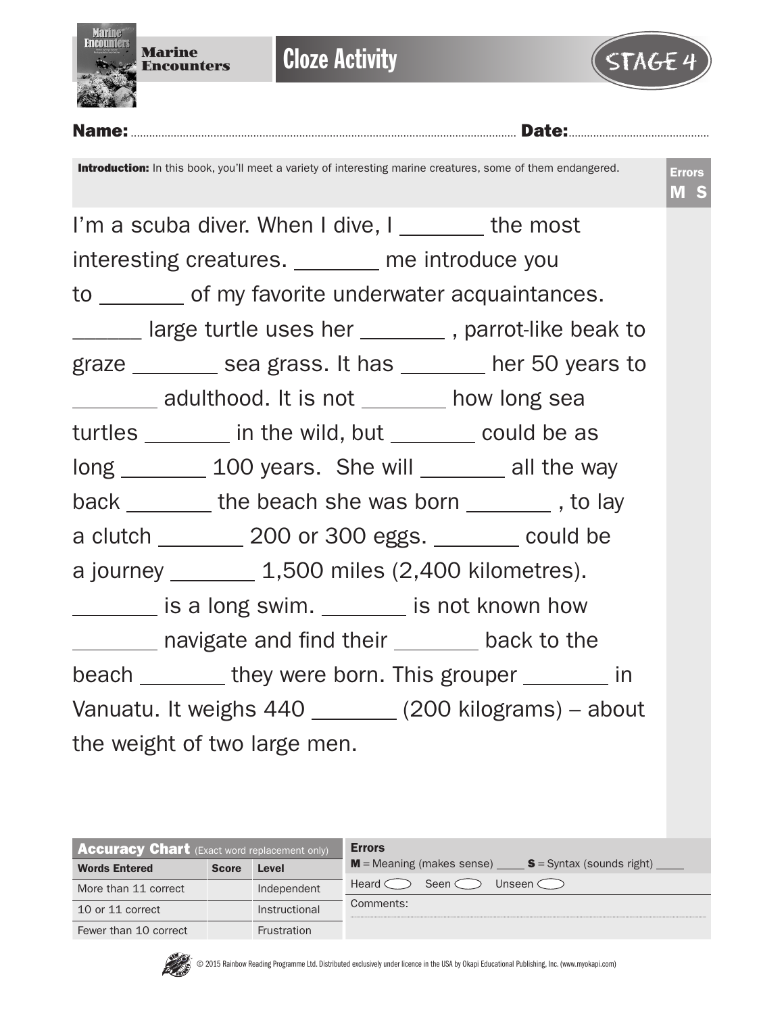



|                                                         | <b>Introduction:</b> In this book, you'll meet a variety of interesting marine creatures, some of them endangered. | <b>Errors</b><br>M S |  |  |  |
|---------------------------------------------------------|--------------------------------------------------------------------------------------------------------------------|----------------------|--|--|--|
|                                                         | I'm a scuba diver. When I dive, I ________ the most                                                                |                      |  |  |  |
|                                                         | interesting creatures. _______ me introduce you                                                                    |                      |  |  |  |
|                                                         | to _________ of my favorite underwater acquaintances.                                                              |                      |  |  |  |
|                                                         | _______ large turtle uses her _________, parrot-like beak to                                                       |                      |  |  |  |
|                                                         | graze _________ sea grass. It has ________ her 50 years to                                                         |                      |  |  |  |
|                                                         | _________ adulthood. It is not ________ how long sea                                                               |                      |  |  |  |
|                                                         | turtles ________ in the wild, but _______ could be as                                                              |                      |  |  |  |
|                                                         | long 100 years. She will a lost be way                                                                             |                      |  |  |  |
|                                                         | back _______ the beach she was born _______, to lay                                                                |                      |  |  |  |
|                                                         | a clutch ________ 200 or 300 eggs. _______ could be                                                                |                      |  |  |  |
|                                                         | a journey __________ 1,500 miles (2,400 kilometres).                                                               |                      |  |  |  |
|                                                         | is a long swim. ______ is not known how                                                                            |                      |  |  |  |
|                                                         | _________ navigate and find their ________ back to the                                                             |                      |  |  |  |
|                                                         | beach __________ they were born. This grouper _________ in                                                         |                      |  |  |  |
| Vanuatu. It weighs 440 ________ (200 kilograms) - about |                                                                                                                    |                      |  |  |  |
| the weight of two large men.                            |                                                                                                                    |                      |  |  |  |

| <b>Accuracy Chart</b> (Exact word replacement only) |              |                    | <b>Errors</b>                                                 |  |  |  |  |
|-----------------------------------------------------|--------------|--------------------|---------------------------------------------------------------|--|--|--|--|
| <b>Words Entered</b>                                | <b>Score</b> | Level              | <b>M</b> = Meaning (makes sense) $S = S$ yntax (sounds right) |  |  |  |  |
| More than 11 correct                                |              | Independent        | Seen $\zeta$<br>Heard <<br>Unseen C                           |  |  |  |  |
| 10 or 11 correct                                    |              | Instructional      | Comments:                                                     |  |  |  |  |
| Fewer than 10 correct                               |              | <b>Frustration</b> |                                                               |  |  |  |  |

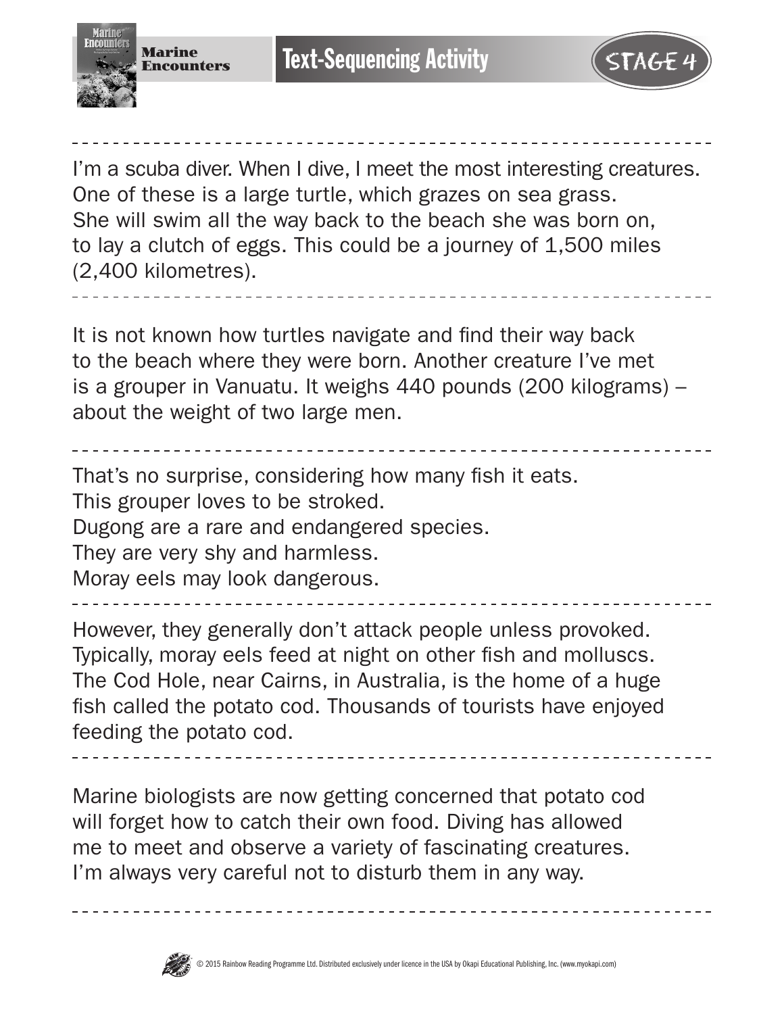



I'm a scuba diver. When I dive, I meet the most interesting creatures. One of these is a large turtle, which grazes on sea grass. She will swim all the way back to the beach she was born on, to lay a clutch of eggs. This could be a journey of 1,500 miles (2,400 kilometres).

It is not known how turtles navigate and find their way back to the beach where they were born. Another creature I've met is a grouper in Vanuatu. It weighs 440 pounds (200 kilograms) – about the weight of two large men.

That's no surprise, considering how many fish it eats. This grouper loves to be stroked. Dugong are a rare and endangered species. They are very shy and harmless. Moray eels may look dangerous.

However, they generally don't attack people unless provoked. Typically, moray eels feed at night on other fish and molluscs. The Cod Hole, near Cairns, in Australia, is the home of a huge fish called the potato cod. Thousands of tourists have enjoyed feeding the potato cod.

Marine biologists are now getting concerned that potato cod will forget how to catch their own food. Diving has allowed me to meet and observe a variety of fascinating creatures. I'm always very careful not to disturb them in any way.

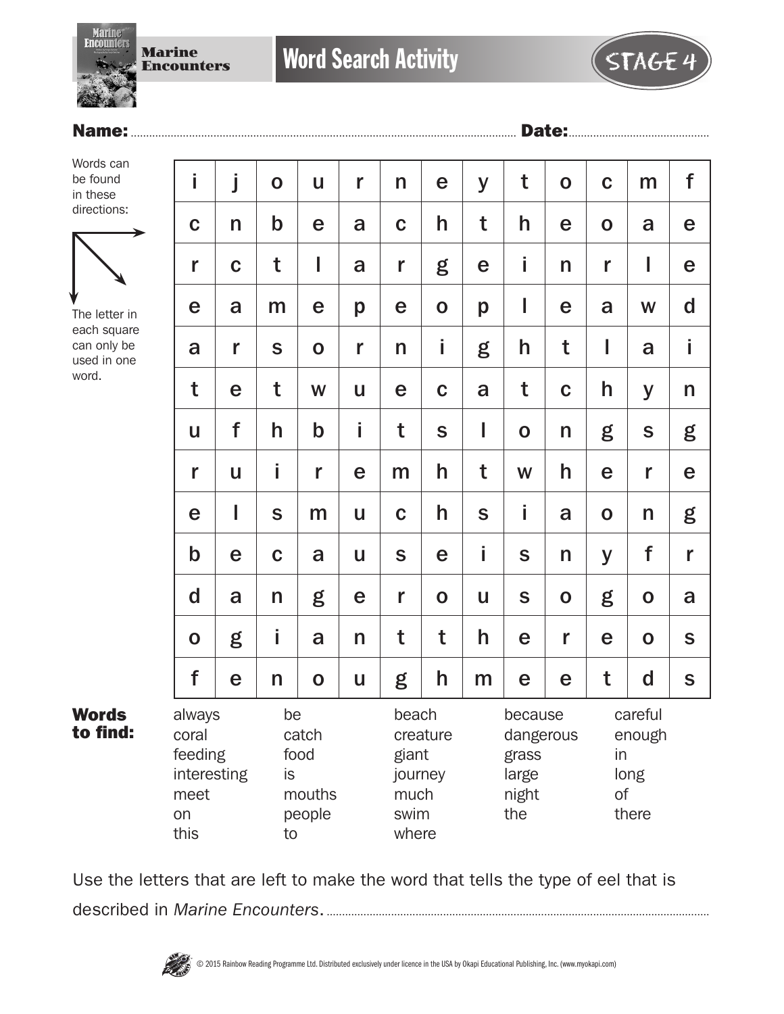Marine **Encounters** 

**Word Search Activity** 



### Name:.............................................................................................................................. Date:..............................................

Words can be found in these directions:



The letter in each square can only be used in one word.

Words to find:

| İ                                                               | j           | $\mathbf O$    | U                                 | r            | n                                                  | e           | y           | t                                                      | $\mathbf O$ | $\mathbf C$  | m                                  | f           |
|-----------------------------------------------------------------|-------------|----------------|-----------------------------------|--------------|----------------------------------------------------|-------------|-------------|--------------------------------------------------------|-------------|--------------|------------------------------------|-------------|
| $\mathbf C$                                                     | n           | $\mathbf b$    | e                                 | a            | $\mathbf C$                                        | h           | t           | h                                                      | e           | $\mathbf 0$  | a                                  | e           |
| r                                                               | $\mathbf C$ | t              | I                                 | a            | r                                                  | g           | e           | İ                                                      | n           | $\mathbf{r}$ | I                                  | e           |
| e                                                               | a           | m              | e                                 | p            | e                                                  | $\mathbf 0$ | p           | I                                                      | e           | a            | W                                  | $\mathbf d$ |
| a                                                               | r           | S              | $\mathbf 0$                       | r            | n                                                  | i           | g           | h                                                      | t           | I            | a                                  | İ           |
| t                                                               | e           | t              | W                                 | U            | e                                                  | $\mathbf C$ | a           | t                                                      | $\mathbf C$ | h            | y                                  | n           |
| U                                                               | f           | h              | $\mathsf b$                       | İ            | t                                                  | S           | I           | $\mathbf O$                                            | n           | g            | S                                  | g           |
| r                                                               | U           | i              | r                                 | e            | m                                                  | h           | t           | W                                                      | h           | e            | r                                  | e           |
| e                                                               | I           | S              | m                                 | U            | $\mathbf C$                                        | h           | $\mathbf S$ | İ                                                      | a           | $\mathbf O$  | n                                  | g           |
| $\mathbf b$                                                     | e           | $\mathbf C$    | a                                 | U            | S                                                  | e           | İ           | S                                                      | n           | y            | f                                  | r           |
| d                                                               | a           | n              | g                                 | e            | r                                                  | $\mathbf O$ | U           | S                                                      | $\mathbf 0$ | g            | $\mathbf O$                        | a           |
| $\mathbf O$                                                     | g           | i              | a                                 | $\mathsf{n}$ | t                                                  | t           | h           | e                                                      | r           | e            | $\mathbf 0$                        | S           |
| f                                                               | e           | n              | $\mathbf 0$                       | U            | g                                                  | h           | m           | e                                                      | e           | t            | $\mathbf d$                        | S           |
| always<br>coral<br>feeding<br>interesting<br>meet<br>on<br>this |             | be<br>is<br>to | catch<br>food<br>mouths<br>people |              | beach<br>giant<br>journey<br>much<br>swim<br>where | creature    |             | because<br>dangerous<br>grass<br>large<br>night<br>the |             | in<br>of     | careful<br>enough<br>long<br>there |             |

Use the letters that are left to make the word that tells the type of eel that is described in *Marine Encounters*..............................................................................................................................

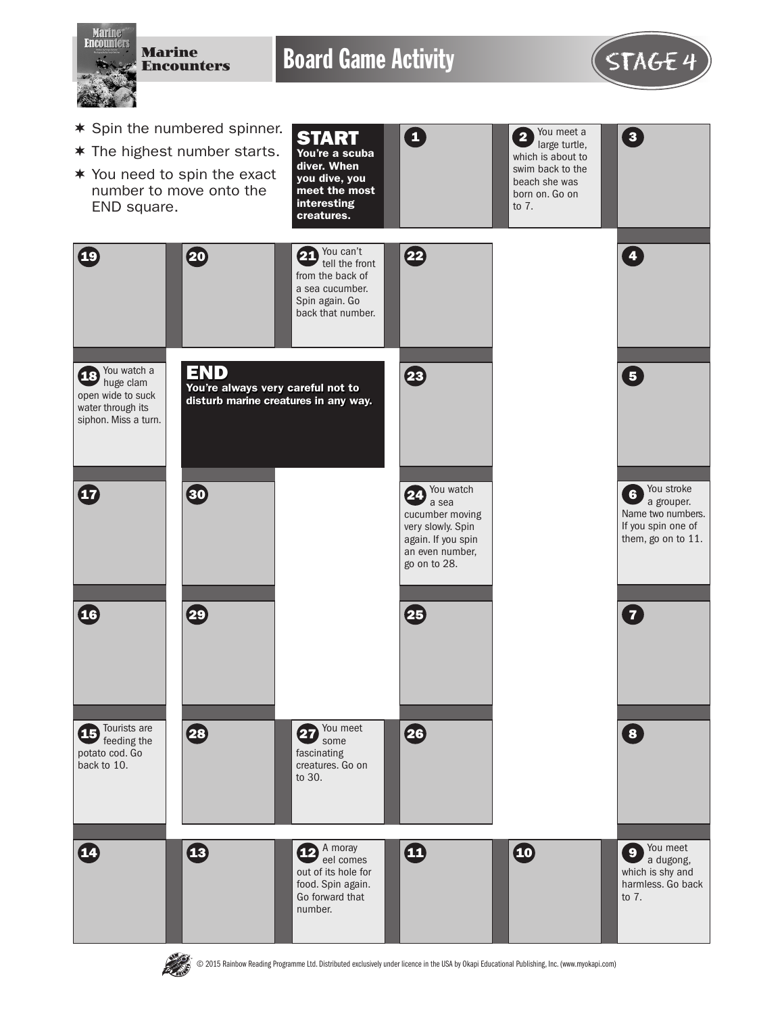

**PASS** 

© 2015 Rainbow Reading Programme Ltd. Distributed exclusively under licence in the USA by Okapi Educational Publishing, Inc. (www.myokapi.com)